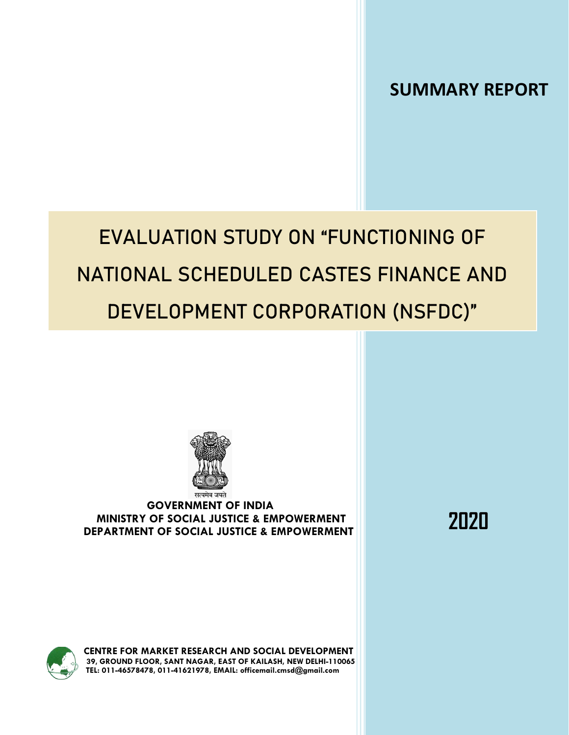**SUMMARY REPORT**

# **EVALUATION STUDY ON "FUNCTIONING OF NATIONAL SCHEDULED CASTES FINANCE AND DEVELOPMENT CORPORATION (NSFDC)"**



## **GOVERNMENT OF INDIA MINISTRY OF SOCIAL JUSTICE & EMPOWERMENT DEPARTMENT OF SOCIAL JUSTICE & EMPOWERMENT**

**2020**

**CENTRE FOR MARKET RESEARCH AND SOCIAL DEVELOPMENT 39, GROUND FLOOR, SANT NAGAR, EAST OF KAILASH, NEW DELHI-110065 TEL: 011-46578478, 011-41621978, EMAIL[: officemail.cmsd@gmail.com](mailto:officemail.cmsd@gmail.com)**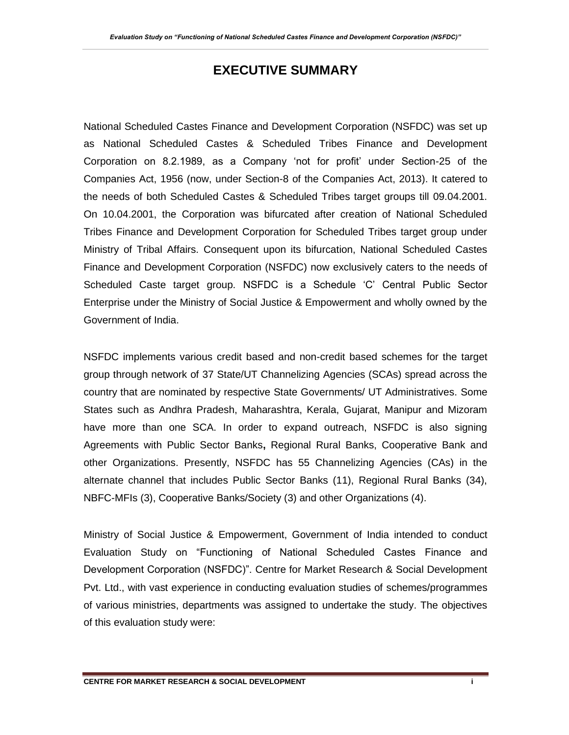# **EXECUTIVE SUMMARY**

National Scheduled Castes Finance and Development Corporation (NSFDC) was set up as National Scheduled Castes & Scheduled Tribes Finance and Development Corporation on 8.2.1989, as a Company 'not for profit' under Section-25 of the Companies Act, 1956 (now, under Section-8 of the Companies Act, 2013). It catered to the needs of both Scheduled Castes & Scheduled Tribes target groups till 09.04.2001. On 10.04.2001, the Corporation was bifurcated after creation of National Scheduled Tribes Finance and Development Corporation for Scheduled Tribes target group under Ministry of Tribal Affairs. Consequent upon its bifurcation, National Scheduled Castes Finance and Development Corporation (NSFDC) now exclusively caters to the needs of Scheduled Caste target group. NSFDC is a Schedule 'C' Central Public Sector Enterprise under the Ministry of Social Justice & Empowerment and wholly owned by the Government of India.

NSFDC implements various credit based and non-credit based schemes for the target group through network of 37 State/UT Channelizing Agencies (SCAs) spread across the country that are nominated by respective State Governments/ UT Administratives. Some States such as Andhra Pradesh, Maharashtra, Kerala, Gujarat, Manipur and Mizoram have more than one SCA. In order to expand outreach, NSFDC is also signing Agreements with Public Sector Banks**,** Regional Rural Banks, Cooperative Bank and other Organizations. Presently, NSFDC has 55 Channelizing Agencies (CAs) in the alternate channel that includes Public Sector Banks (11), Regional Rural Banks (34), NBFC-MFIs (3), Cooperative Banks/Society (3) and other Organizations (4).

Ministry of Social Justice & Empowerment, Government of India intended to conduct Evaluation Study on "Functioning of National Scheduled Castes Finance and Development Corporation (NSFDC)". Centre for Market Research & Social Development Pvt. Ltd., with vast experience in conducting evaluation studies of schemes/programmes of various ministries, departments was assigned to undertake the study. The objectives of this evaluation study were: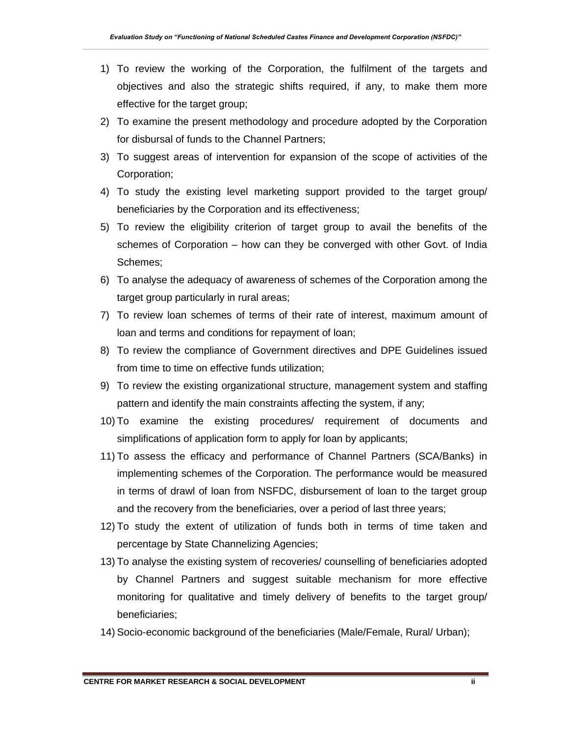- 1) To review the working of the Corporation, the fulfilment of the targets and objectives and also the strategic shifts required, if any, to make them more effective for the target group;
- 2) To examine the present methodology and procedure adopted by the Corporation for disbursal of funds to the Channel Partners;
- 3) To suggest areas of intervention for expansion of the scope of activities of the Corporation;
- 4) To study the existing level marketing support provided to the target group/ beneficiaries by the Corporation and its effectiveness;
- 5) To review the eligibility criterion of target group to avail the benefits of the schemes of Corporation – how can they be converged with other Govt. of India Schemes;
- 6) To analyse the adequacy of awareness of schemes of the Corporation among the target group particularly in rural areas;
- 7) To review loan schemes of terms of their rate of interest, maximum amount of loan and terms and conditions for repayment of loan;
- 8) To review the compliance of Government directives and DPE Guidelines issued from time to time on effective funds utilization;
- 9) To review the existing organizational structure, management system and staffing pattern and identify the main constraints affecting the system, if any;
- 10) To examine the existing procedures/ requirement of documents and simplifications of application form to apply for loan by applicants;
- 11) To assess the efficacy and performance of Channel Partners (SCA/Banks) in implementing schemes of the Corporation. The performance would be measured in terms of drawl of loan from NSFDC, disbursement of loan to the target group and the recovery from the beneficiaries, over a period of last three years;
- 12) To study the extent of utilization of funds both in terms of time taken and percentage by State Channelizing Agencies;
- 13) To analyse the existing system of recoveries/ counselling of beneficiaries adopted by Channel Partners and suggest suitable mechanism for more effective monitoring for qualitative and timely delivery of benefits to the target group/ beneficiaries;
- 14) Socio-economic background of the beneficiaries (Male/Female, Rural/ Urban);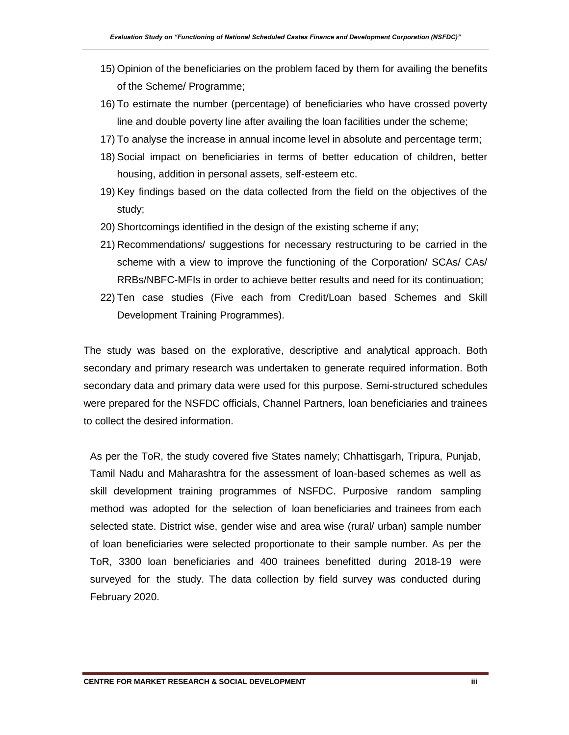- 15) Opinion of the beneficiaries on the problem faced by them for availing the benefits of the Scheme/ Programme;
- 16) To estimate the number (percentage) of beneficiaries who have crossed poverty line and double poverty line after availing the loan facilities under the scheme;
- 17) To analyse the increase in annual income level in absolute and percentage term;
- 18) Social impact on beneficiaries in terms of better education of children, better housing, addition in personal assets, self-esteem etc.
- 19) Key findings based on the data collected from the field on the objectives of the study;
- 20) Shortcomings identified in the design of the existing scheme if any;
- 21) Recommendations/ suggestions for necessary restructuring to be carried in the scheme with a view to improve the functioning of the Corporation/ SCAs/ CAs/ RRBs/NBFC-MFIs in order to achieve better results and need for its continuation;
- 22) Ten case studies (Five each from Credit/Loan based Schemes and Skill Development Training Programmes).

The study was based on the explorative, descriptive and analytical approach. Both secondary and primary research was undertaken to generate required information. Both secondary data and primary data were used for this purpose. Semi-structured schedules were prepared for the NSFDC officials, Channel Partners, loan beneficiaries and trainees to collect the desired information.

As per the ToR, the study covered five States namely; Chhattisgarh, Tripura, Punjab, Tamil Nadu and Maharashtra for the assessment of loan-based schemes as well as skill development training programmes of NSFDC. Purposive random sampling method was adopted for the selection of loan beneficiaries and trainees from each selected state. District wise, gender wise and area wise (rural/ urban) sample number of loan beneficiaries were selected proportionate to their sample number. As per the ToR, 3300 loan beneficiaries and 400 trainees benefitted during 2018-19 were surveyed for the study. The data collection by field survey was conducted during February 2020.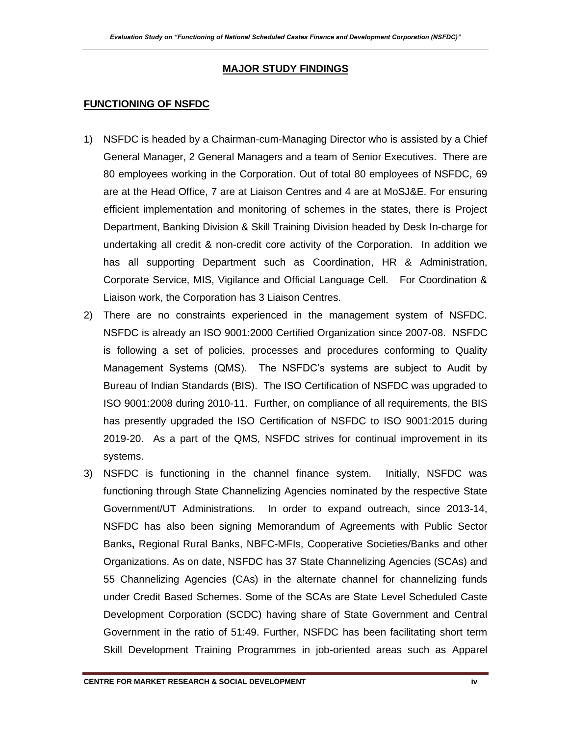#### **MAJOR STUDY FINDINGS**

#### **FUNCTIONING OF NSFDC**

- 1) NSFDC is headed by a Chairman-cum-Managing Director who is assisted by a Chief General Manager, 2 General Managers and a team of Senior Executives. There are 80 employees working in the Corporation. Out of total 80 employees of NSFDC, 69 are at the Head Office, 7 are at Liaison Centres and 4 are at MoSJ&E. For ensuring efficient implementation and monitoring of schemes in the states, there is Project Department, Banking Division & Skill Training Division headed by Desk In-charge for undertaking all credit & non-credit core activity of the Corporation. In addition we has all supporting Department such as Coordination, HR & Administration, Corporate Service, MIS, Vigilance and Official Language Cell. For Coordination & Liaison work, the Corporation has 3 Liaison Centres.
- 2) There are no constraints experienced in the management system of NSFDC. NSFDC is already an ISO 9001:2000 Certified Organization since 2007-08. NSFDC is following a set of policies, processes and procedures conforming to Quality Management Systems (QMS). The NSFDC's systems are subject to Audit by Bureau of Indian Standards (BIS). The ISO Certification of NSFDC was upgraded to ISO 9001:2008 during 2010-11. Further, on compliance of all requirements, the BIS has presently upgraded the ISO Certification of NSFDC to ISO 9001:2015 during 2019-20. As a part of the QMS, NSFDC strives for continual improvement in its systems.
- 3) NSFDC is functioning in the channel finance system. Initially, NSFDC was functioning through State Channelizing Agencies nominated by the respective State Government/UT Administrations. In order to expand outreach, since 2013-14, NSFDC has also been signing Memorandum of Agreements with Public Sector Banks**,** Regional Rural Banks, NBFC-MFIs, Cooperative Societies/Banks and other Organizations. As on date, NSFDC has 37 State Channelizing Agencies (SCAs) and 55 Channelizing Agencies (CAs) in the alternate channel for channelizing funds under Credit Based Schemes. Some of the SCAs are State Level Scheduled Caste Development Corporation (SCDC) having share of State Government and Central Government in the ratio of 51:49. Further, NSFDC has been facilitating short term Skill Development Training Programmes in job-oriented areas such as Apparel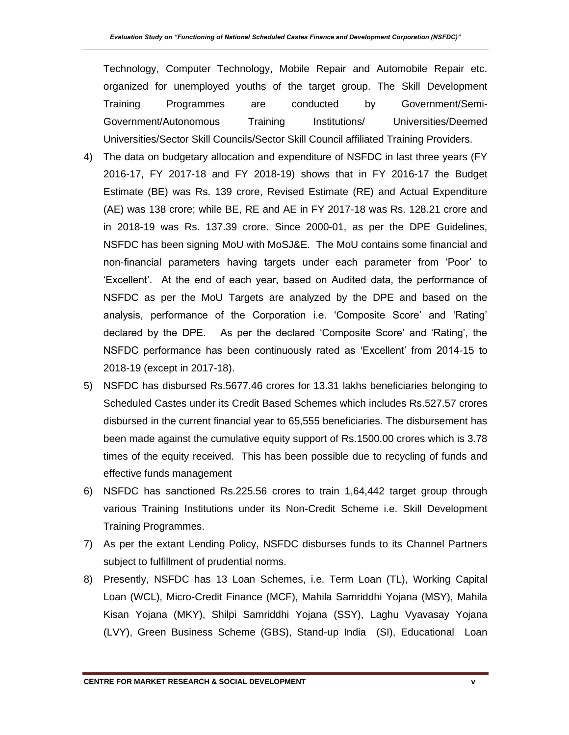Technology, Computer Technology, Mobile Repair and Automobile Repair etc. organized for unemployed youths of the target group. The Skill Development Training Programmes are conducted by Government/Semi-Government/Autonomous Training Institutions/ Universities/Deemed Universities/Sector Skill Councils/Sector Skill Council affiliated Training Providers.

- 4) The data on budgetary allocation and expenditure of NSFDC in last three years (FY 2016-17, FY 2017-18 and FY 2018-19) shows that in FY 2016-17 the Budget Estimate (BE) was Rs. 139 crore, Revised Estimate (RE) and Actual Expenditure (AE) was 138 crore; while BE, RE and AE in FY 2017-18 was Rs. 128.21 crore and in 2018-19 was Rs. 137.39 crore. Since 2000-01, as per the DPE Guidelines, NSFDC has been signing MoU with MoSJ&E. The MoU contains some financial and non-financial parameters having targets under each parameter from 'Poor' to 'Excellent'. At the end of each year, based on Audited data, the performance of NSFDC as per the MoU Targets are analyzed by the DPE and based on the analysis, performance of the Corporation i.e. 'Composite Score' and 'Rating' declared by the DPE. As per the declared 'Composite Score' and 'Rating', the NSFDC performance has been continuously rated as 'Excellent' from 2014-15 to 2018-19 (except in 2017-18).
- 5) NSFDC has disbursed Rs.5677.46 crores for 13.31 lakhs beneficiaries belonging to Scheduled Castes under its Credit Based Schemes which includes Rs.527.57 crores disbursed in the current financial year to 65,555 beneficiaries. The disbursement has been made against the cumulative equity support of Rs.1500.00 crores which is 3.78 times of the equity received. This has been possible due to recycling of funds and effective funds management
- 6) NSFDC has sanctioned Rs.225.56 crores to train 1,64,442 target group through various Training Institutions under its Non-Credit Scheme i.e. Skill Development Training Programmes.
- 7) As per the extant Lending Policy, NSFDC disburses funds to its Channel Partners subject to fulfillment of prudential norms.
- 8) Presently, NSFDC has 13 Loan Schemes, i.e. Term Loan (TL), Working Capital Loan (WCL), Micro-Credit Finance (MCF), Mahila Samriddhi Yojana (MSY), Mahila Kisan Yojana (MKY), Shilpi Samriddhi Yojana (SSY), Laghu Vyavasay Yojana (LVY), Green Business Scheme (GBS), Stand-up India (SI), Educational Loan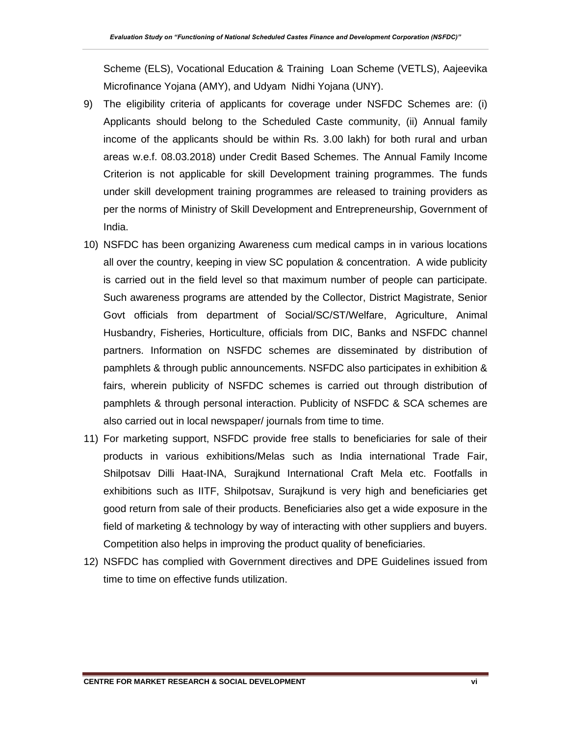Scheme (ELS), Vocational Education & Training Loan Scheme (VETLS), Aajeevika Microfinance Yojana (AMY), and Udyam Nidhi Yojana (UNY).

- 9) The eligibility criteria of applicants for coverage under NSFDC Schemes are: (i) Applicants should belong to the Scheduled Caste community, (ii) Annual family income of the applicants should be within Rs. 3.00 lakh) for both rural and urban areas w.e.f. 08.03.2018) under Credit Based Schemes. The Annual Family Income Criterion is not applicable for skill Development training programmes. The funds under skill development training programmes are released to training providers as per the norms of Ministry of Skill Development and Entrepreneurship, Government of India.
- 10) NSFDC has been organizing Awareness cum medical camps in in various locations all over the country, keeping in view SC population & concentration. A wide publicity is carried out in the field level so that maximum number of people can participate. Such awareness programs are attended by the Collector, District Magistrate, Senior Govt officials from department of Social/SC/ST/Welfare, Agriculture, Animal Husbandry, Fisheries, Horticulture, officials from DIC, Banks and NSFDC channel partners. Information on NSFDC schemes are disseminated by distribution of pamphlets & through public announcements. NSFDC also participates in exhibition & fairs, wherein publicity of NSFDC schemes is carried out through distribution of pamphlets & through personal interaction. Publicity of NSFDC & SCA schemes are also carried out in local newspaper/ journals from time to time.
- 11) For marketing support, NSFDC provide free stalls to beneficiaries for sale of their products in various exhibitions/Melas such as India international Trade Fair, Shilpotsav Dilli Haat-INA, Surajkund International Craft Mela etc. Footfalls in exhibitions such as IITF, Shilpotsav, Surajkund is very high and beneficiaries get good return from sale of their products. Beneficiaries also get a wide exposure in the field of marketing & technology by way of interacting with other suppliers and buyers. Competition also helps in improving the product quality of beneficiaries.
- 12) NSFDC has complied with Government directives and DPE Guidelines issued from time to time on effective funds utilization.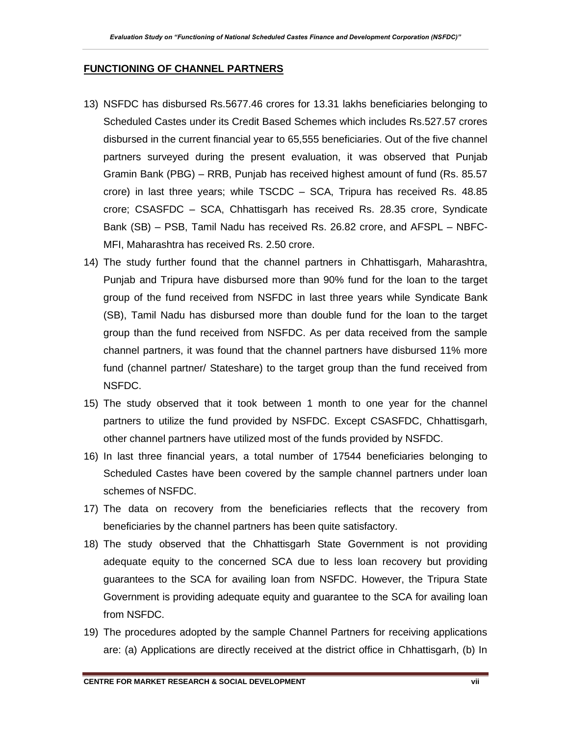#### **FUNCTIONING OF CHANNEL PARTNERS**

- 13) NSFDC has disbursed Rs.5677.46 crores for 13.31 lakhs beneficiaries belonging to Scheduled Castes under its Credit Based Schemes which includes Rs.527.57 crores disbursed in the current financial year to 65,555 beneficiaries. Out of the five channel partners surveyed during the present evaluation, it was observed that Punjab Gramin Bank (PBG) – RRB, Punjab has received highest amount of fund (Rs. 85.57 crore) in last three years; while TSCDC – SCA, Tripura has received Rs. 48.85 crore; CSASFDC – SCA, Chhattisgarh has received Rs. 28.35 crore, Syndicate Bank (SB) – PSB, Tamil Nadu has received Rs. 26.82 crore, and AFSPL – NBFC-MFI, Maharashtra has received Rs. 2.50 crore.
- 14) The study further found that the channel partners in Chhattisgarh, Maharashtra, Punjab and Tripura have disbursed more than 90% fund for the loan to the target group of the fund received from NSFDC in last three years while Syndicate Bank (SB), Tamil Nadu has disbursed more than double fund for the loan to the target group than the fund received from NSFDC. As per data received from the sample channel partners, it was found that the channel partners have disbursed 11% more fund (channel partner/ Stateshare) to the target group than the fund received from NSFDC.
- 15) The study observed that it took between 1 month to one year for the channel partners to utilize the fund provided by NSFDC. Except CSASFDC, Chhattisgarh, other channel partners have utilized most of the funds provided by NSFDC.
- 16) In last three financial years, a total number of 17544 beneficiaries belonging to Scheduled Castes have been covered by the sample channel partners under loan schemes of NSFDC.
- 17) The data on recovery from the beneficiaries reflects that the recovery from beneficiaries by the channel partners has been quite satisfactory.
- 18) The study observed that the Chhattisgarh State Government is not providing adequate equity to the concerned SCA due to less loan recovery but providing guarantees to the SCA for availing loan from NSFDC. However, the Tripura State Government is providing adequate equity and guarantee to the SCA for availing loan from NSFDC.
- 19) The procedures adopted by the sample Channel Partners for receiving applications are: (a) Applications are directly received at the district office in Chhattisgarh, (b) In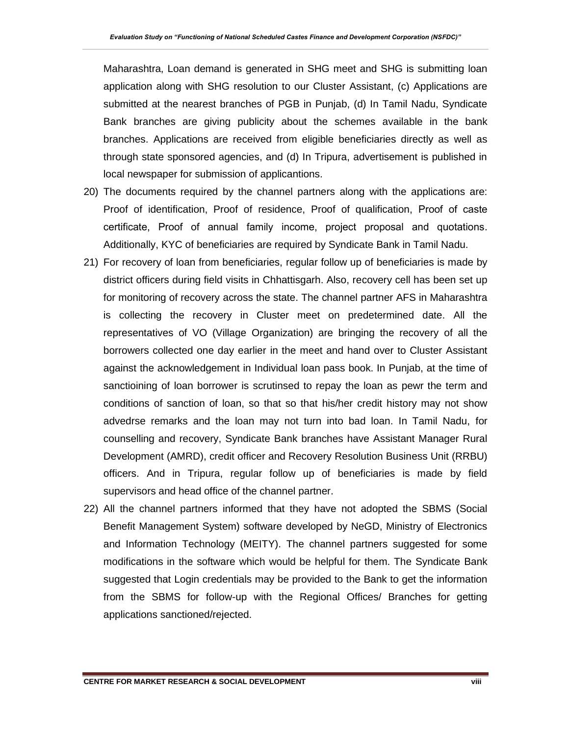Maharashtra, Loan demand is generated in SHG meet and SHG is submitting loan application along with SHG resolution to our Cluster Assistant, (c) Applications are submitted at the nearest branches of PGB in Punjab, (d) In Tamil Nadu, Syndicate Bank branches are giving publicity about the schemes available in the bank branches. Applications are received from eligible beneficiaries directly as well as through state sponsored agencies, and (d) In Tripura, advertisement is published in local newspaper for submission of applicantions.

- 20) The documents required by the channel partners along with the applications are: Proof of identification, Proof of residence, Proof of qualification, Proof of caste certificate, Proof of annual family income, project proposal and quotations. Additionally, KYC of beneficiaries are required by Syndicate Bank in Tamil Nadu.
- 21) For recovery of loan from beneficiaries, regular follow up of beneficiaries is made by district officers during field visits in Chhattisgarh. Also, recovery cell has been set up for monitoring of recovery across the state. The channel partner AFS in Maharashtra is collecting the recovery in Cluster meet on predetermined date. All the representatives of VO (Village Organization) are bringing the recovery of all the borrowers collected one day earlier in the meet and hand over to Cluster Assistant against the acknowledgement in Individual loan pass book. In Punjab, at the time of sanctioining of loan borrower is scrutinsed to repay the loan as pewr the term and conditions of sanction of loan, so that so that his/her credit history may not show advedrse remarks and the loan may not turn into bad loan. In Tamil Nadu, for counselling and recovery, Syndicate Bank branches have Assistant Manager Rural Development (AMRD), credit officer and Recovery Resolution Business Unit (RRBU) officers. And in Tripura, regular follow up of beneficiaries is made by field supervisors and head office of the channel partner.
- 22) All the channel partners informed that they have not adopted the SBMS (Social Benefit Management System) software developed by NeGD, Ministry of Electronics and Information Technology (MEITY). The channel partners suggested for some modifications in the software which would be helpful for them. The Syndicate Bank suggested that Login credentials may be provided to the Bank to get the information from the SBMS for follow-up with the Regional Offices/ Branches for getting applications sanctioned/rejected.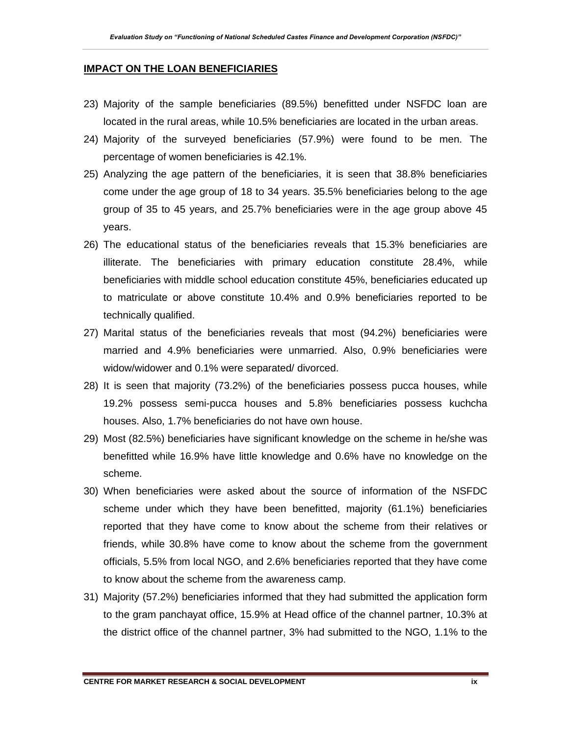#### **IMPACT ON THE LOAN BENEFICIARIES**

- 23) Majority of the sample beneficiaries (89.5%) benefitted under NSFDC loan are located in the rural areas, while 10.5% beneficiaries are located in the urban areas.
- 24) Majority of the surveyed beneficiaries (57.9%) were found to be men. The percentage of women beneficiaries is 42.1%.
- 25) Analyzing the age pattern of the beneficiaries, it is seen that 38.8% beneficiaries come under the age group of 18 to 34 years. 35.5% beneficiaries belong to the age group of 35 to 45 years, and 25.7% beneficiaries were in the age group above 45 years.
- 26) The educational status of the beneficiaries reveals that 15.3% beneficiaries are illiterate. The beneficiaries with primary education constitute 28.4%, while beneficiaries with middle school education constitute 45%, beneficiaries educated up to matriculate or above constitute 10.4% and 0.9% beneficiaries reported to be technically qualified.
- 27) Marital status of the beneficiaries reveals that most (94.2%) beneficiaries were married and 4.9% beneficiaries were unmarried. Also, 0.9% beneficiaries were widow/widower and 0.1% were separated/ divorced.
- 28) It is seen that majority (73.2%) of the beneficiaries possess pucca houses, while 19.2% possess semi-pucca houses and 5.8% beneficiaries possess kuchcha houses. Also, 1.7% beneficiaries do not have own house.
- 29) Most (82.5%) beneficiaries have significant knowledge on the scheme in he/she was benefitted while 16.9% have little knowledge and 0.6% have no knowledge on the scheme.
- 30) When beneficiaries were asked about the source of information of the NSFDC scheme under which they have been benefitted, majority (61.1%) beneficiaries reported that they have come to know about the scheme from their relatives or friends, while 30.8% have come to know about the scheme from the government officials, 5.5% from local NGO, and 2.6% beneficiaries reported that they have come to know about the scheme from the awareness camp.
- 31) Majority (57.2%) beneficiaries informed that they had submitted the application form to the gram panchayat office, 15.9% at Head office of the channel partner, 10.3% at the district office of the channel partner, 3% had submitted to the NGO, 1.1% to the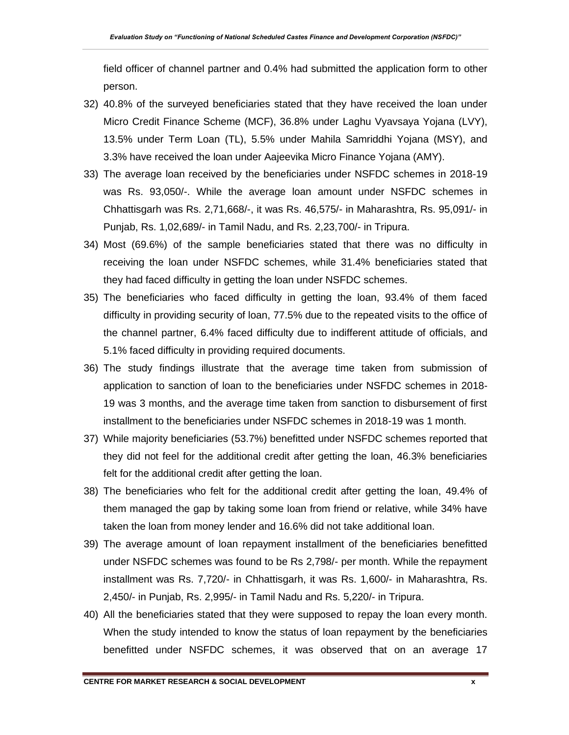field officer of channel partner and 0.4% had submitted the application form to other person.

- 32) 40.8% of the surveyed beneficiaries stated that they have received the loan under Micro Credit Finance Scheme (MCF), 36.8% under Laghu Vyavsaya Yojana (LVY), 13.5% under Term Loan (TL), 5.5% under Mahila Samriddhi Yojana (MSY), and 3.3% have received the loan under Aajeevika Micro Finance Yojana (AMY).
- 33) The average loan received by the beneficiaries under NSFDC schemes in 2018-19 was Rs. 93,050/-. While the average loan amount under NSFDC schemes in Chhattisgarh was Rs. 2,71,668/-, it was Rs. 46,575/- in Maharashtra, Rs. 95,091/- in Punjab, Rs. 1,02,689/- in Tamil Nadu, and Rs. 2,23,700/- in Tripura.
- 34) Most (69.6%) of the sample beneficiaries stated that there was no difficulty in receiving the loan under NSFDC schemes, while 31.4% beneficiaries stated that they had faced difficulty in getting the loan under NSFDC schemes.
- 35) The beneficiaries who faced difficulty in getting the loan, 93.4% of them faced difficulty in providing security of loan, 77.5% due to the repeated visits to the office of the channel partner, 6.4% faced difficulty due to indifferent attitude of officials, and 5.1% faced difficulty in providing required documents.
- 36) The study findings illustrate that the average time taken from submission of application to sanction of loan to the beneficiaries under NSFDC schemes in 2018- 19 was 3 months, and the average time taken from sanction to disbursement of first installment to the beneficiaries under NSFDC schemes in 2018-19 was 1 month.
- 37) While majority beneficiaries (53.7%) benefitted under NSFDC schemes reported that they did not feel for the additional credit after getting the loan, 46.3% beneficiaries felt for the additional credit after getting the loan.
- 38) The beneficiaries who felt for the additional credit after getting the loan, 49.4% of them managed the gap by taking some loan from friend or relative, while 34% have taken the loan from money lender and 16.6% did not take additional loan.
- 39) The average amount of loan repayment installment of the beneficiaries benefitted under NSFDC schemes was found to be Rs 2,798/- per month. While the repayment installment was Rs. 7,720/- in Chhattisgarh, it was Rs. 1,600/- in Maharashtra, Rs. 2,450/- in Punjab, Rs. 2,995/- in Tamil Nadu and Rs. 5,220/- in Tripura.
- 40) All the beneficiaries stated that they were supposed to repay the loan every month. When the study intended to know the status of loan repayment by the beneficiaries benefitted under NSFDC schemes, it was observed that on an average 17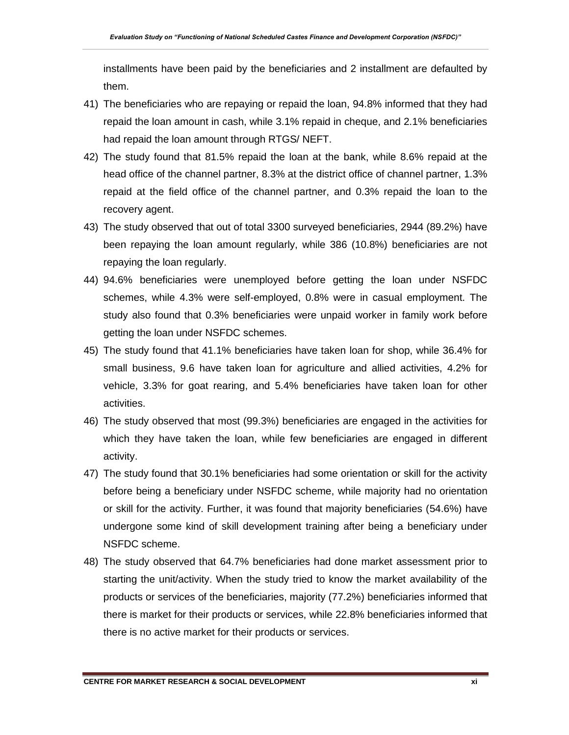installments have been paid by the beneficiaries and 2 installment are defaulted by them.

- 41) The beneficiaries who are repaying or repaid the loan, 94.8% informed that they had repaid the loan amount in cash, while 3.1% repaid in cheque, and 2.1% beneficiaries had repaid the loan amount through RTGS/ NEFT.
- 42) The study found that 81.5% repaid the loan at the bank, while 8.6% repaid at the head office of the channel partner, 8.3% at the district office of channel partner, 1.3% repaid at the field office of the channel partner, and 0.3% repaid the loan to the recovery agent.
- 43) The study observed that out of total 3300 surveyed beneficiaries, 2944 (89.2%) have been repaying the loan amount regularly, while 386 (10.8%) beneficiaries are not repaying the loan regularly.
- 44) 94.6% beneficiaries were unemployed before getting the loan under NSFDC schemes, while 4.3% were self-employed, 0.8% were in casual employment. The study also found that 0.3% beneficiaries were unpaid worker in family work before getting the loan under NSFDC schemes.
- 45) The study found that 41.1% beneficiaries have taken loan for shop, while 36.4% for small business, 9.6 have taken loan for agriculture and allied activities, 4.2% for vehicle, 3.3% for goat rearing, and 5.4% beneficiaries have taken loan for other activities.
- 46) The study observed that most (99.3%) beneficiaries are engaged in the activities for which they have taken the loan, while few beneficiaries are engaged in different activity.
- 47) The study found that 30.1% beneficiaries had some orientation or skill for the activity before being a beneficiary under NSFDC scheme, while majority had no orientation or skill for the activity. Further, it was found that majority beneficiaries (54.6%) have undergone some kind of skill development training after being a beneficiary under NSFDC scheme.
- 48) The study observed that 64.7% beneficiaries had done market assessment prior to starting the unit/activity. When the study tried to know the market availability of the products or services of the beneficiaries, majority (77.2%) beneficiaries informed that there is market for their products or services, while 22.8% beneficiaries informed that there is no active market for their products or services.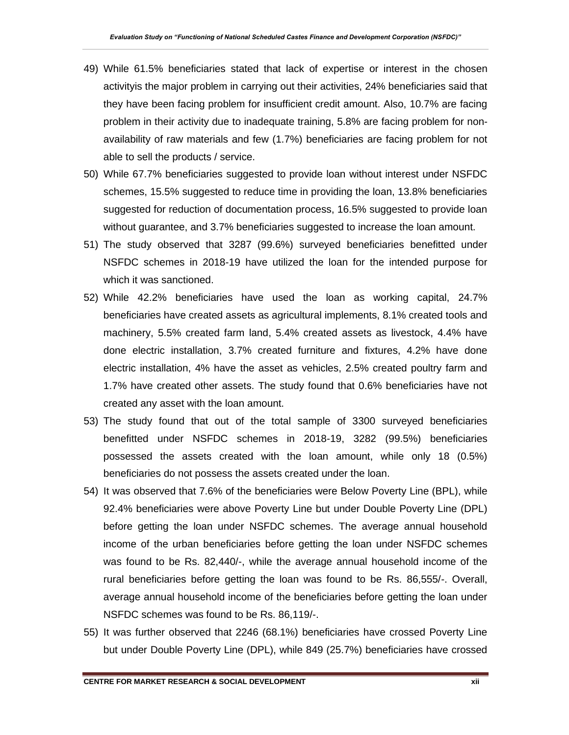- 49) While 61.5% beneficiaries stated that lack of expertise or interest in the chosen activityis the major problem in carrying out their activities, 24% beneficiaries said that they have been facing problem for insufficient credit amount. Also, 10.7% are facing problem in their activity due to inadequate training, 5.8% are facing problem for nonavailability of raw materials and few (1.7%) beneficiaries are facing problem for not able to sell the products / service.
- 50) While 67.7% beneficiaries suggested to provide loan without interest under NSFDC schemes, 15.5% suggested to reduce time in providing the loan, 13.8% beneficiaries suggested for reduction of documentation process, 16.5% suggested to provide loan without guarantee, and 3.7% beneficiaries suggested to increase the loan amount.
- 51) The study observed that 3287 (99.6%) surveyed beneficiaries benefitted under NSFDC schemes in 2018-19 have utilized the loan for the intended purpose for which it was sanctioned.
- 52) While 42.2% beneficiaries have used the loan as working capital, 24.7% beneficiaries have created assets as agricultural implements, 8.1% created tools and machinery, 5.5% created farm land, 5.4% created assets as livestock, 4.4% have done electric installation, 3.7% created furniture and fixtures, 4.2% have done electric installation, 4% have the asset as vehicles, 2.5% created poultry farm and 1.7% have created other assets. The study found that 0.6% beneficiaries have not created any asset with the loan amount.
- 53) The study found that out of the total sample of 3300 surveyed beneficiaries benefitted under NSFDC schemes in 2018-19, 3282 (99.5%) beneficiaries possessed the assets created with the loan amount, while only 18 (0.5%) beneficiaries do not possess the assets created under the loan.
- 54) It was observed that 7.6% of the beneficiaries were Below Poverty Line (BPL), while 92.4% beneficiaries were above Poverty Line but under Double Poverty Line (DPL) before getting the loan under NSFDC schemes. The average annual household income of the urban beneficiaries before getting the loan under NSFDC schemes was found to be Rs. 82,440/-, while the average annual household income of the rural beneficiaries before getting the loan was found to be Rs. 86,555/-. Overall, average annual household income of the beneficiaries before getting the loan under NSFDC schemes was found to be Rs. 86,119/-.
- 55) It was further observed that 2246 (68.1%) beneficiaries have crossed Poverty Line but under Double Poverty Line (DPL), while 849 (25.7%) beneficiaries have crossed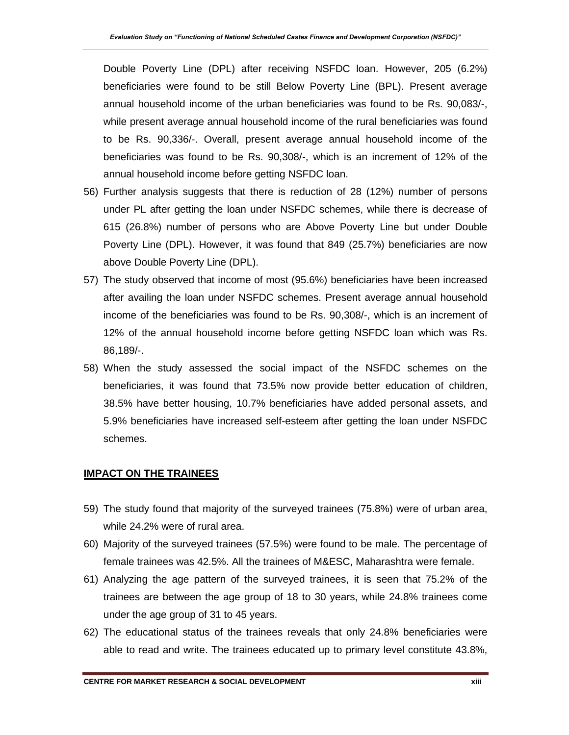Double Poverty Line (DPL) after receiving NSFDC loan. However, 205 (6.2%) beneficiaries were found to be still Below Poverty Line (BPL). Present average annual household income of the urban beneficiaries was found to be Rs. 90,083/-, while present average annual household income of the rural beneficiaries was found to be Rs. 90,336/-. Overall, present average annual household income of the beneficiaries was found to be Rs. 90,308/-, which is an increment of 12% of the annual household income before getting NSFDC loan.

- 56) Further analysis suggests that there is reduction of 28 (12%) number of persons under PL after getting the loan under NSFDC schemes, while there is decrease of 615 (26.8%) number of persons who are Above Poverty Line but under Double Poverty Line (DPL). However, it was found that 849 (25.7%) beneficiaries are now above Double Poverty Line (DPL).
- 57) The study observed that income of most (95.6%) beneficiaries have been increased after availing the loan under NSFDC schemes. Present average annual household income of the beneficiaries was found to be Rs. 90,308/-, which is an increment of 12% of the annual household income before getting NSFDC loan which was Rs. 86,189/-.
- 58) When the study assessed the social impact of the NSFDC schemes on the beneficiaries, it was found that 73.5% now provide better education of children, 38.5% have better housing, 10.7% beneficiaries have added personal assets, and 5.9% beneficiaries have increased self-esteem after getting the loan under NSFDC schemes.

### **IMPACT ON THE TRAINEES**

- 59) The study found that majority of the surveyed trainees (75.8%) were of urban area, while 24.2% were of rural area.
- 60) Majority of the surveyed trainees (57.5%) were found to be male. The percentage of female trainees was 42.5%. All the trainees of M&ESC, Maharashtra were female.
- 61) Analyzing the age pattern of the surveyed trainees, it is seen that 75.2% of the trainees are between the age group of 18 to 30 years, while 24.8% trainees come under the age group of 31 to 45 years.
- 62) The educational status of the trainees reveals that only 24.8% beneficiaries were able to read and write. The trainees educated up to primary level constitute 43.8%,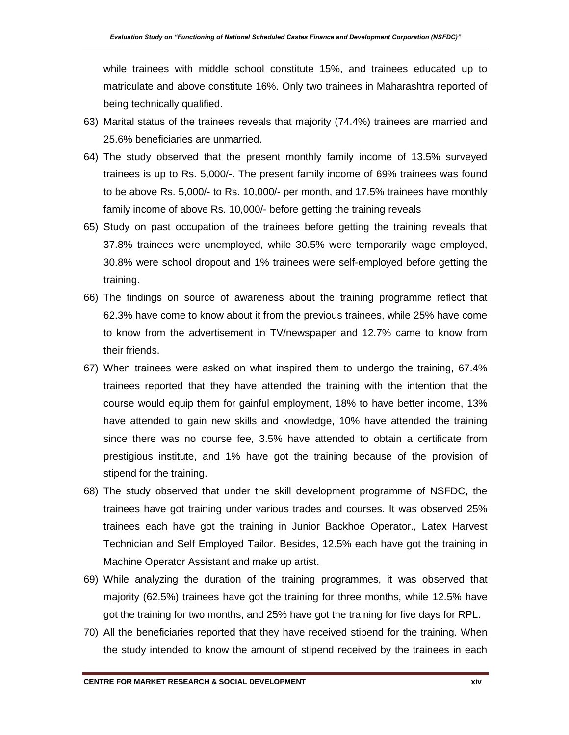while trainees with middle school constitute 15%, and trainees educated up to matriculate and above constitute 16%. Only two trainees in Maharashtra reported of being technically qualified.

- 63) Marital status of the trainees reveals that majority (74.4%) trainees are married and 25.6% beneficiaries are unmarried.
- 64) The study observed that the present monthly family income of 13.5% surveyed trainees is up to Rs. 5,000/-. The present family income of 69% trainees was found to be above Rs. 5,000/- to Rs. 10,000/- per month, and 17.5% trainees have monthly family income of above Rs. 10,000/- before getting the training reveals
- 65) Study on past occupation of the trainees before getting the training reveals that 37.8% trainees were unemployed, while 30.5% were temporarily wage employed, 30.8% were school dropout and 1% trainees were self-employed before getting the training.
- 66) The findings on source of awareness about the training programme reflect that 62.3% have come to know about it from the previous trainees, while 25% have come to know from the advertisement in TV/newspaper and 12.7% came to know from their friends.
- 67) When trainees were asked on what inspired them to undergo the training, 67.4% trainees reported that they have attended the training with the intention that the course would equip them for gainful employment, 18% to have better income, 13% have attended to gain new skills and knowledge, 10% have attended the training since there was no course fee, 3.5% have attended to obtain a certificate from prestigious institute, and 1% have got the training because of the provision of stipend for the training.
- 68) The study observed that under the skill development programme of NSFDC, the trainees have got training under various trades and courses. It was observed 25% trainees each have got the training in Junior Backhoe Operator., Latex Harvest Technician and Self Employed Tailor. Besides, 12.5% each have got the training in Machine Operator Assistant and make up artist.
- 69) While analyzing the duration of the training programmes, it was observed that majority (62.5%) trainees have got the training for three months, while 12.5% have got the training for two months, and 25% have got the training for five days for RPL.
- 70) All the beneficiaries reported that they have received stipend for the training. When the study intended to know the amount of stipend received by the trainees in each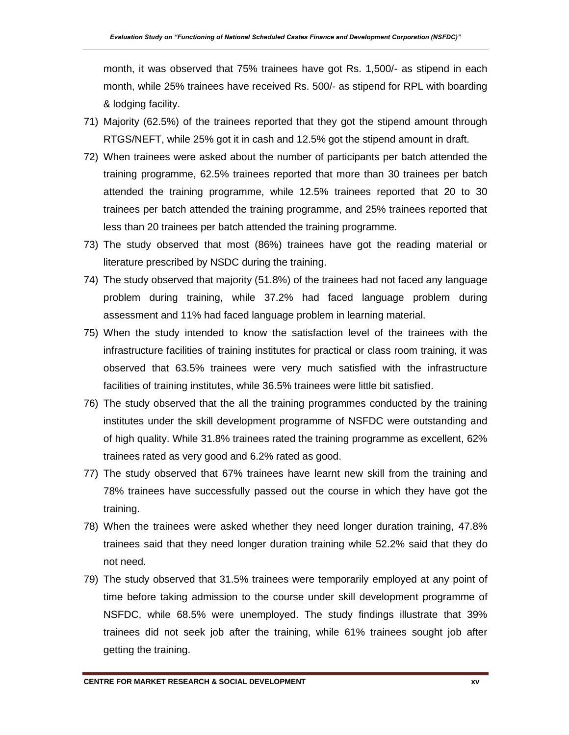month, it was observed that 75% trainees have got Rs. 1,500/- as stipend in each month, while 25% trainees have received Rs. 500/- as stipend for RPL with boarding & lodging facility.

- 71) Majority (62.5%) of the trainees reported that they got the stipend amount through RTGS/NEFT, while 25% got it in cash and 12.5% got the stipend amount in draft.
- 72) When trainees were asked about the number of participants per batch attended the training programme, 62.5% trainees reported that more than 30 trainees per batch attended the training programme, while 12.5% trainees reported that 20 to 30 trainees per batch attended the training programme, and 25% trainees reported that less than 20 trainees per batch attended the training programme.
- 73) The study observed that most (86%) trainees have got the reading material or literature prescribed by NSDC during the training.
- 74) The study observed that majority (51.8%) of the trainees had not faced any language problem during training, while 37.2% had faced language problem during assessment and 11% had faced language problem in learning material.
- 75) When the study intended to know the satisfaction level of the trainees with the infrastructure facilities of training institutes for practical or class room training, it was observed that 63.5% trainees were very much satisfied with the infrastructure facilities of training institutes, while 36.5% trainees were little bit satisfied.
- 76) The study observed that the all the training programmes conducted by the training institutes under the skill development programme of NSFDC were outstanding and of high quality. While 31.8% trainees rated the training programme as excellent, 62% trainees rated as very good and 6.2% rated as good.
- 77) The study observed that 67% trainees have learnt new skill from the training and 78% trainees have successfully passed out the course in which they have got the training.
- 78) When the trainees were asked whether they need longer duration training, 47.8% trainees said that they need longer duration training while 52.2% said that they do not need.
- 79) The study observed that 31.5% trainees were temporarily employed at any point of time before taking admission to the course under skill development programme of NSFDC, while 68.5% were unemployed. The study findings illustrate that 39% trainees did not seek job after the training, while 61% trainees sought job after getting the training.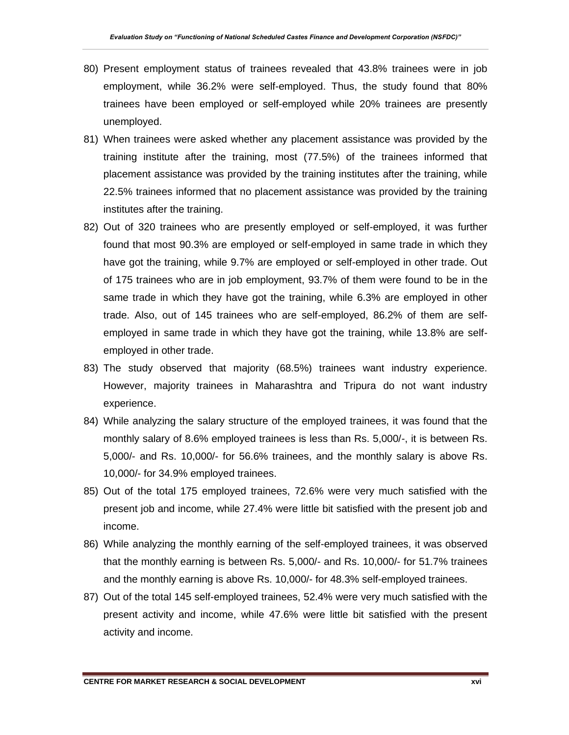- 80) Present employment status of trainees revealed that 43.8% trainees were in job employment, while 36.2% were self-employed. Thus, the study found that 80% trainees have been employed or self-employed while 20% trainees are presently unemployed.
- 81) When trainees were asked whether any placement assistance was provided by the training institute after the training, most (77.5%) of the trainees informed that placement assistance was provided by the training institutes after the training, while 22.5% trainees informed that no placement assistance was provided by the training institutes after the training.
- 82) Out of 320 trainees who are presently employed or self-employed, it was further found that most 90.3% are employed or self-employed in same trade in which they have got the training, while 9.7% are employed or self-employed in other trade. Out of 175 trainees who are in job employment, 93.7% of them were found to be in the same trade in which they have got the training, while 6.3% are employed in other trade. Also, out of 145 trainees who are self-employed, 86.2% of them are selfemployed in same trade in which they have got the training, while 13.8% are selfemployed in other trade.
- 83) The study observed that majority (68.5%) trainees want industry experience. However, majority trainees in Maharashtra and Tripura do not want industry experience.
- 84) While analyzing the salary structure of the employed trainees, it was found that the monthly salary of 8.6% employed trainees is less than Rs. 5,000/-, it is between Rs. 5,000/- and Rs. 10,000/- for 56.6% trainees, and the monthly salary is above Rs. 10,000/- for 34.9% employed trainees.
- 85) Out of the total 175 employed trainees, 72.6% were very much satisfied with the present job and income, while 27.4% were little bit satisfied with the present job and income.
- 86) While analyzing the monthly earning of the self-employed trainees, it was observed that the monthly earning is between Rs. 5,000/- and Rs. 10,000/- for 51.7% trainees and the monthly earning is above Rs. 10,000/- for 48.3% self-employed trainees.
- 87) Out of the total 145 self-employed trainees, 52.4% were very much satisfied with the present activity and income, while 47.6% were little bit satisfied with the present activity and income.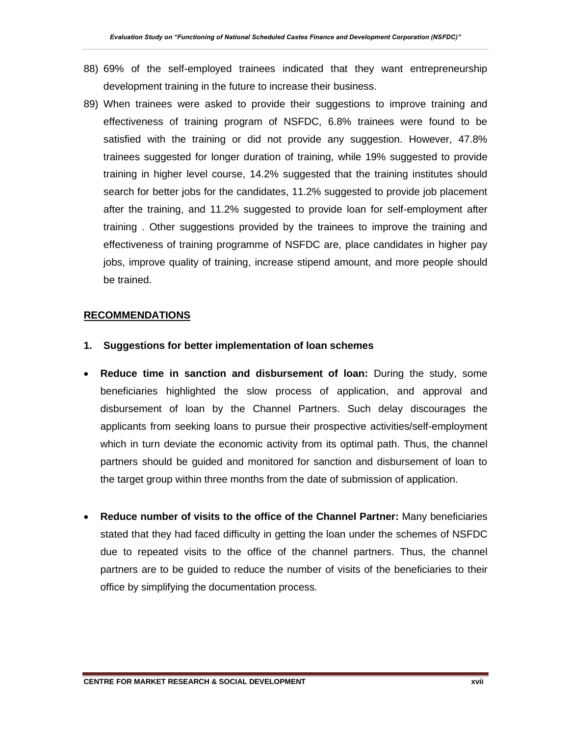- 88) 69% of the self-employed trainees indicated that they want entrepreneurship development training in the future to increase their business.
- 89) When trainees were asked to provide their suggestions to improve training and effectiveness of training program of NSFDC, 6.8% trainees were found to be satisfied with the training or did not provide any suggestion. However, 47.8% trainees suggested for longer duration of training, while 19% suggested to provide training in higher level course, 14.2% suggested that the training institutes should search for better jobs for the candidates, 11.2% suggested to provide job placement after the training, and 11.2% suggested to provide loan for self-employment after training . Other suggestions provided by the trainees to improve the training and effectiveness of training programme of NSFDC are, place candidates in higher pay jobs, improve quality of training, increase stipend amount, and more people should be trained.

#### **RECOMMENDATIONS**

- **1. Suggestions for better implementation of loan schemes**
- **Reduce time in sanction and disbursement of loan:** During the study, some beneficiaries highlighted the slow process of application, and approval and disbursement of loan by the Channel Partners. Such delay discourages the applicants from seeking loans to pursue their prospective activities/self-employment which in turn deviate the economic activity from its optimal path. Thus, the channel partners should be guided and monitored for sanction and disbursement of loan to the target group within three months from the date of submission of application.
- **Reduce number of visits to the office of the Channel Partner:** Many beneficiaries stated that they had faced difficulty in getting the loan under the schemes of NSFDC due to repeated visits to the office of the channel partners. Thus, the channel partners are to be guided to reduce the number of visits of the beneficiaries to their office by simplifying the documentation process.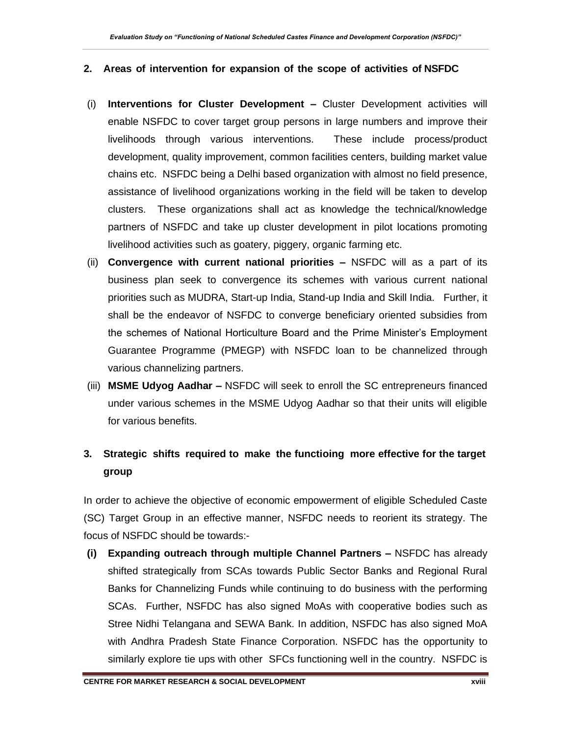#### **2. Areas of intervention for expansion of the scope of activities of NSFDC**

- (i) **Interventions for Cluster Development –** Cluster Development activities will enable NSFDC to cover target group persons in large numbers and improve their livelihoods through various interventions. These include process/product development, quality improvement, common facilities centers, building market value chains etc. NSFDC being a Delhi based organization with almost no field presence, assistance of livelihood organizations working in the field will be taken to develop clusters. These organizations shall act as knowledge the technical/knowledge partners of NSFDC and take up cluster development in pilot locations promoting livelihood activities such as goatery, piggery, organic farming etc.
- (ii) **Convergence with current national priorities –** NSFDC will as a part of its business plan seek to convergence its schemes with various current national priorities such as MUDRA, Start-up India, Stand-up India and Skill India. Further, it shall be the endeavor of NSFDC to converge beneficiary oriented subsidies from the schemes of National Horticulture Board and the Prime Minister's Employment Guarantee Programme (PMEGP) with NSFDC loan to be channelized through various channelizing partners.
- (iii) **MSME Udyog Aadhar –** NSFDC will seek to enroll the SC entrepreneurs financed under various schemes in the MSME Udyog Aadhar so that their units will eligible for various benefits.

## **3. Strategic shifts required to make the functioing more effective for the target group**

In order to achieve the objective of economic empowerment of eligible Scheduled Caste (SC) Target Group in an effective manner, NSFDC needs to reorient its strategy. The focus of NSFDC should be towards:-

**(i) Expanding outreach through multiple Channel Partners –** NSFDC has already shifted strategically from SCAs towards Public Sector Banks and Regional Rural Banks for Channelizing Funds while continuing to do business with the performing SCAs. Further, NSFDC has also signed MoAs with cooperative bodies such as Stree Nidhi Telangana and SEWA Bank. In addition, NSFDC has also signed MoA with Andhra Pradesh State Finance Corporation. NSFDC has the opportunity to similarly explore tie ups with other SFCs functioning well in the country. NSFDC is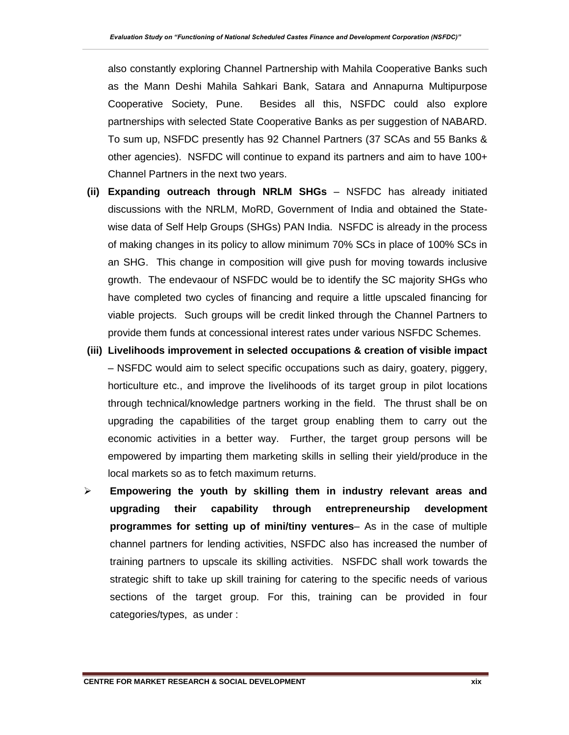also constantly exploring Channel Partnership with Mahila Cooperative Banks such as the Mann Deshi Mahila Sahkari Bank, Satara and Annapurna Multipurpose Cooperative Society, Pune. Besides all this, NSFDC could also explore partnerships with selected State Cooperative Banks as per suggestion of NABARD. To sum up, NSFDC presently has 92 Channel Partners (37 SCAs and 55 Banks & other agencies). NSFDC will continue to expand its partners and aim to have 100+ Channel Partners in the next two years.

- **(ii) Expanding outreach through NRLM SHGs** NSFDC has already initiated discussions with the NRLM, MoRD, Government of India and obtained the Statewise data of Self Help Groups (SHGs) PAN India. NSFDC is already in the process of making changes in its policy to allow minimum 70% SCs in place of 100% SCs in an SHG. This change in composition will give push for moving towards inclusive growth. The endevaour of NSFDC would be to identify the SC majority SHGs who have completed two cycles of financing and require a little upscaled financing for viable projects. Such groups will be credit linked through the Channel Partners to provide them funds at concessional interest rates under various NSFDC Schemes.
- **(iii) Livelihoods improvement in selected occupations & creation of visible impact**  – NSFDC would aim to select specific occupations such as dairy, goatery, piggery, horticulture etc., and improve the livelihoods of its target group in pilot locations through technical/knowledge partners working in the field. The thrust shall be on upgrading the capabilities of the target group enabling them to carry out the economic activities in a better way. Further, the target group persons will be empowered by imparting them marketing skills in selling their yield/produce in the local markets so as to fetch maximum returns.
- ➢ **Empowering the youth by skilling them in industry relevant areas and upgrading their capability through entrepreneurship development programmes for setting up of mini/tiny ventures**– As in the case of multiple channel partners for lending activities, NSFDC also has increased the number of training partners to upscale its skilling activities. NSFDC shall work towards the strategic shift to take up skill training for catering to the specific needs of various sections of the target group. For this, training can be provided in four categories/types, as under :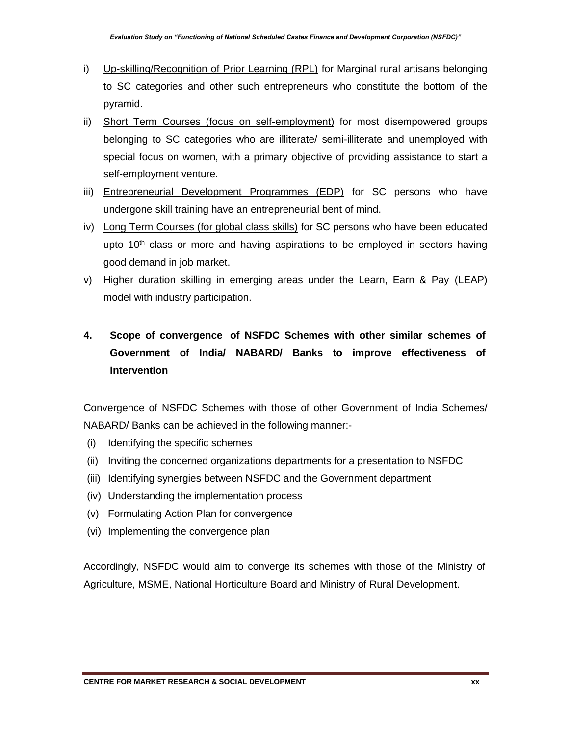- i) Up-skilling/Recognition of Prior Learning (RPL) for Marginal rural artisans belonging to SC categories and other such entrepreneurs who constitute the bottom of the pyramid.
- ii) Short Term Courses (focus on self-employment) for most disempowered groups belonging to SC categories who are illiterate/ semi-illiterate and unemployed with special focus on women, with a primary objective of providing assistance to start a self-employment venture.
- iii) Entrepreneurial Development Programmes (EDP) for SC persons who have undergone skill training have an entrepreneurial bent of mind.
- iv) Long Term Courses (for global class skills) for SC persons who have been educated upto 10<sup>th</sup> class or more and having aspirations to be employed in sectors having good demand in job market.
- v) Higher duration skilling in emerging areas under the Learn, Earn & Pay (LEAP) model with industry participation.

# **4. Scope of convergence of NSFDC Schemes with other similar schemes of Government of India/ NABARD/ Banks to improve effectiveness of intervention**

Convergence of NSFDC Schemes with those of other Government of India Schemes/ NABARD/ Banks can be achieved in the following manner:-

- (i) Identifying the specific schemes
- (ii) Inviting the concerned organizations departments for a presentation to NSFDC
- (iii) Identifying synergies between NSFDC and the Government department
- (iv) Understanding the implementation process
- (v) Formulating Action Plan for convergence
- (vi) Implementing the convergence plan

Accordingly, NSFDC would aim to converge its schemes with those of the Ministry of Agriculture, MSME, National Horticulture Board and Ministry of Rural Development.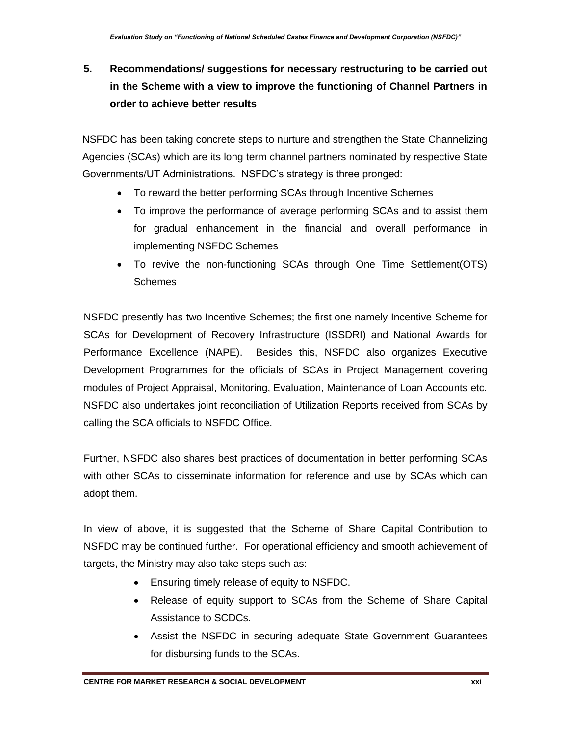# **5. Recommendations/ suggestions for necessary restructuring to be carried out in the Scheme with a view to improve the functioning of Channel Partners in order to achieve better results**

NSFDC has been taking concrete steps to nurture and strengthen the State Channelizing Agencies (SCAs) which are its long term channel partners nominated by respective State Governments/UT Administrations. NSFDC's strategy is three pronged:

- To reward the better performing SCAs through Incentive Schemes
- To improve the performance of average performing SCAs and to assist them for gradual enhancement in the financial and overall performance in implementing NSFDC Schemes
- To revive the non-functioning SCAs through One Time Settlement(OTS) **Schemes**

NSFDC presently has two Incentive Schemes; the first one namely Incentive Scheme for SCAs for Development of Recovery Infrastructure (ISSDRI) and National Awards for Performance Excellence (NAPE). Besides this, NSFDC also organizes Executive Development Programmes for the officials of SCAs in Project Management covering modules of Project Appraisal, Monitoring, Evaluation, Maintenance of Loan Accounts etc. NSFDC also undertakes joint reconciliation of Utilization Reports received from SCAs by calling the SCA officials to NSFDC Office.

Further, NSFDC also shares best practices of documentation in better performing SCAs with other SCAs to disseminate information for reference and use by SCAs which can adopt them.

In view of above, it is suggested that the Scheme of Share Capital Contribution to NSFDC may be continued further. For operational efficiency and smooth achievement of targets, the Ministry may also take steps such as:

- Ensuring timely release of equity to NSFDC.
- Release of equity support to SCAs from the Scheme of Share Capital Assistance to SCDCs.
- Assist the NSFDC in securing adequate State Government Guarantees for disbursing funds to the SCAs.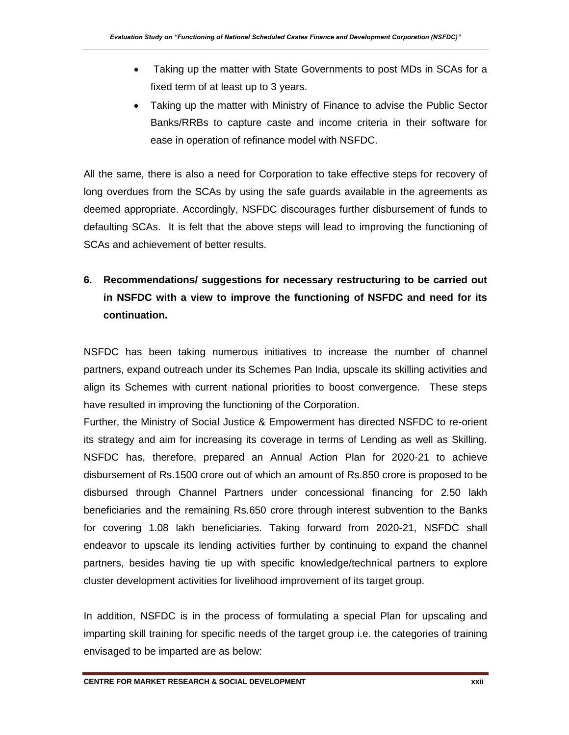- Taking up the matter with State Governments to post MDs in SCAs for a fixed term of at least up to 3 years.
- Taking up the matter with Ministry of Finance to advise the Public Sector Banks/RRBs to capture caste and income criteria in their software for ease in operation of refinance model with NSFDC.

All the same, there is also a need for Corporation to take effective steps for recovery of long overdues from the SCAs by using the safe guards available in the agreements as deemed appropriate. Accordingly, NSFDC discourages further disbursement of funds to defaulting SCAs. It is felt that the above steps will lead to improving the functioning of SCAs and achievement of better results.

# **6. Recommendations/ suggestions for necessary restructuring to be carried out in NSFDC with a view to improve the functioning of NSFDC and need for its continuation.**

NSFDC has been taking numerous initiatives to increase the number of channel partners, expand outreach under its Schemes Pan India, upscale its skilling activities and align its Schemes with current national priorities to boost convergence. These steps have resulted in improving the functioning of the Corporation.

Further, the Ministry of Social Justice & Empowerment has directed NSFDC to re-orient its strategy and aim for increasing its coverage in terms of Lending as well as Skilling. NSFDC has, therefore, prepared an Annual Action Plan for 2020-21 to achieve disbursement of Rs.1500 crore out of which an amount of Rs.850 crore is proposed to be disbursed through Channel Partners under concessional financing for 2.50 lakh beneficiaries and the remaining Rs.650 crore through interest subvention to the Banks for covering 1.08 lakh beneficiaries. Taking forward from 2020-21, NSFDC shall endeavor to upscale its lending activities further by continuing to expand the channel partners, besides having tie up with specific knowledge/technical partners to explore cluster development activities for livelihood improvement of its target group.

In addition, NSFDC is in the process of formulating a special Plan for upscaling and imparting skill training for specific needs of the target group i.e. the categories of training envisaged to be imparted are as below: